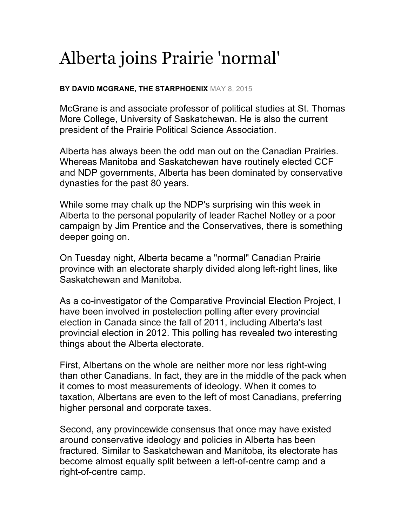## Alberta joins Prairie 'normal'

## **BY DAVID MCGRANE, THE STARPHOENIX** MAY 8, 2015

McGrane is and associate professor of political studies at St. Thomas More College, University of Saskatchewan. He is also the current president of the Prairie Political Science Association.

Alberta has always been the odd man out on the Canadian Prairies. Whereas Manitoba and Saskatchewan have routinely elected CCF and NDP governments, Alberta has been dominated by conservative dynasties for the past 80 years.

While some may chalk up the NDP's surprising win this week in Alberta to the personal popularity of leader Rachel Notley or a poor campaign by Jim Prentice and the Conservatives, there is something deeper going on.

On Tuesday night, Alberta became a "normal" Canadian Prairie province with an electorate sharply divided along left-right lines, like Saskatchewan and Manitoba.

As a co-investigator of the Comparative Provincial Election Project, I have been involved in postelection polling after every provincial election in Canada since the fall of 2011, including Alberta's last provincial election in 2012. This polling has revealed two interesting things about the Alberta electorate.

First, Albertans on the whole are neither more nor less right-wing than other Canadians. In fact, they are in the middle of the pack when it comes to most measurements of ideology. When it comes to taxation, Albertans are even to the left of most Canadians, preferring higher personal and corporate taxes.

Second, any provincewide consensus that once may have existed around conservative ideology and policies in Alberta has been fractured. Similar to Saskatchewan and Manitoba, its electorate has become almost equally split between a left-of-centre camp and a right-of-centre camp.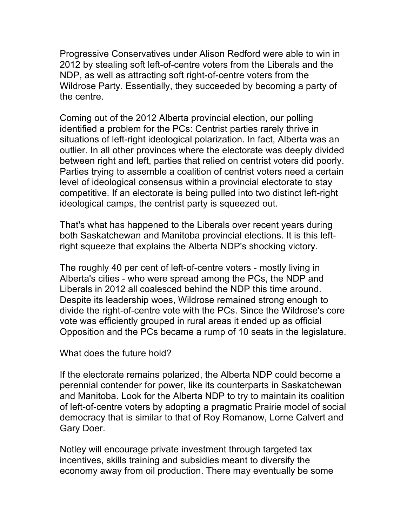Progressive Conservatives under Alison Redford were able to win in 2012 by stealing soft left-of-centre voters from the Liberals and the NDP, as well as attracting soft right-of-centre voters from the Wildrose Party. Essentially, they succeeded by becoming a party of the centre.

Coming out of the 2012 Alberta provincial election, our polling identified a problem for the PCs: Centrist parties rarely thrive in situations of left-right ideological polarization. In fact, Alberta was an outlier. In all other provinces where the electorate was deeply divided between right and left, parties that relied on centrist voters did poorly. Parties trying to assemble a coalition of centrist voters need a certain level of ideological consensus within a provincial electorate to stay competitive. If an electorate is being pulled into two distinct left-right ideological camps, the centrist party is squeezed out.

That's what has happened to the Liberals over recent years during both Saskatchewan and Manitoba provincial elections. It is this leftright squeeze that explains the Alberta NDP's shocking victory.

The roughly 40 per cent of left-of-centre voters - mostly living in Alberta's cities - who were spread among the PCs, the NDP and Liberals in 2012 all coalesced behind the NDP this time around. Despite its leadership woes, Wildrose remained strong enough to divide the right-of-centre vote with the PCs. Since the Wildrose's core vote was efficiently grouped in rural areas it ended up as official Opposition and the PCs became a rump of 10 seats in the legislature.

What does the future hold?

If the electorate remains polarized, the Alberta NDP could become a perennial contender for power, like its counterparts in Saskatchewan and Manitoba. Look for the Alberta NDP to try to maintain its coalition of left-of-centre voters by adopting a pragmatic Prairie model of social democracy that is similar to that of Roy Romanow, Lorne Calvert and Gary Doer.

Notley will encourage private investment through targeted tax incentives, skills training and subsidies meant to diversify the economy away from oil production. There may eventually be some